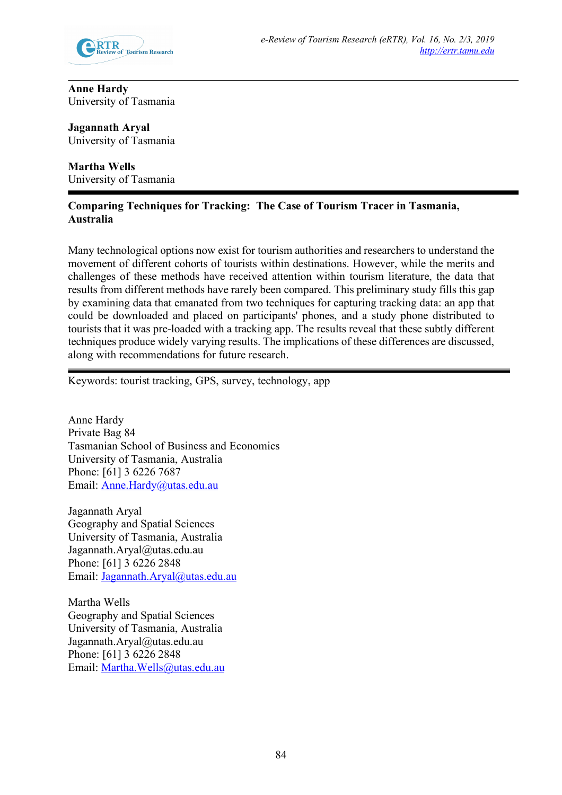

**Anne Hardy** University of Tasmania

**Jagannath Aryal** University of Tasmania

**Martha Wells** University of Tasmania

# **Comparing Techniques for Tracking: The Case of Tourism Tracer in Tasmania, Australia**

Many technological options now exist for tourism authorities and researchers to understand the movement of different cohorts of tourists within destinations. However, while the merits and challenges of these methods have received attention within tourism literature, the data that results from different methods have rarely been compared. This preliminary study fills this gap by examining data that emanated from two techniques for capturing tracking data: an app that could be downloaded and placed on participants' phones, and a study phone distributed to tourists that it was pre-loaded with a tracking app. The results reveal that these subtly different techniques produce widely varying results. The implications of these differences are discussed, along with recommendations for future research.

Keywords: tourist tracking, GPS, survey, technology, app

Anne Hardy Private Bag 84 Tasmanian School of Business and Economics University of Tasmania, Australia Phone: [61] 3 6226 7687 Email: Anne.Hardy@utas.edu.au

Jagannath Aryal Geography and Spatial Sciences University of Tasmania, Australia Jagannath.Aryal@utas.edu.au Phone: [61] 3 6226 2848 Email: Jagannath.Aryal@utas.edu.au

Martha Wells Geography and Spatial Sciences University of Tasmania, Australia Jagannath.Aryal@utas.edu.au Phone: [61] 3 6226 2848 Email: Martha.Wells@utas.edu.au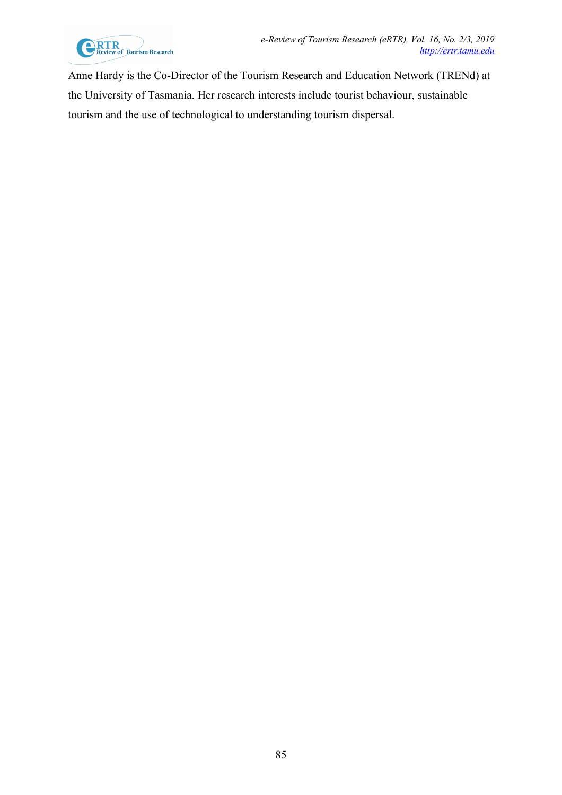

Anne Hardy is the Co-Director of the Tourism Research and Education Network (TRENd) at the University of Tasmania. Her research interests include tourist behaviour, sustainable tourism and the use of technological to understanding tourism dispersal.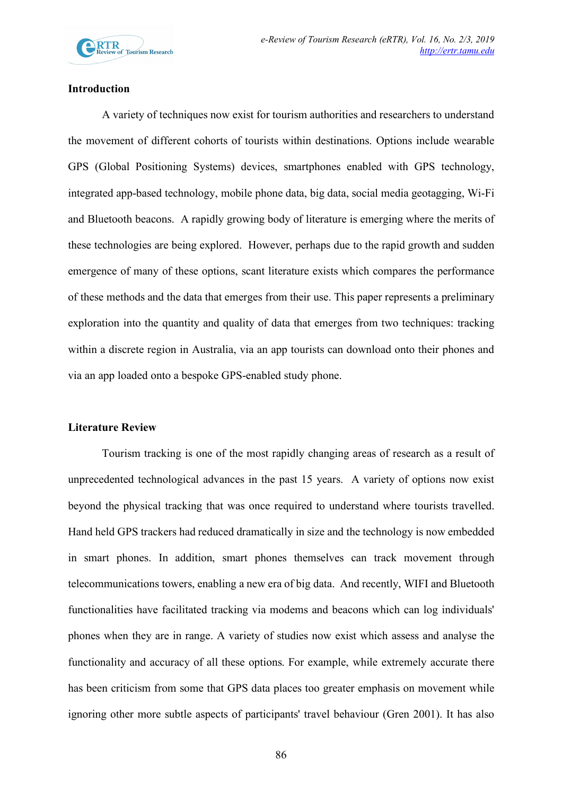

## **Introduction**

A variety of techniques now exist for tourism authorities and researchers to understand the movement of different cohorts of tourists within destinations. Options include wearable GPS (Global Positioning Systems) devices, smartphones enabled with GPS technology, integrated app-based technology, mobile phone data, big data, social media geotagging, Wi-Fi and Bluetooth beacons. A rapidly growing body of literature is emerging where the merits of these technologies are being explored. However, perhaps due to the rapid growth and sudden emergence of many of these options, scant literature exists which compares the performance of these methods and the data that emerges from their use. This paper represents a preliminary exploration into the quantity and quality of data that emerges from two techniques: tracking within a discrete region in Australia, via an app tourists can download onto their phones and via an app loaded onto a bespoke GPS-enabled study phone.

### **Literature Review**

Tourism tracking is one of the most rapidly changing areas of research as a result of unprecedented technological advances in the past 15 years. A variety of options now exist beyond the physical tracking that was once required to understand where tourists travelled. Hand held GPS trackers had reduced dramatically in size and the technology is now embedded in smart phones. In addition, smart phones themselves can track movement through telecommunications towers, enabling a new era of big data. And recently, WIFI and Bluetooth functionalities have facilitated tracking via modems and beacons which can log individuals' phones when they are in range. A variety of studies now exist which assess and analyse the functionality and accuracy of all these options. For example, while extremely accurate there has been criticism from some that GPS data places too greater emphasis on movement while ignoring other more subtle aspects of participants' travel behaviour (Gren 2001). It has also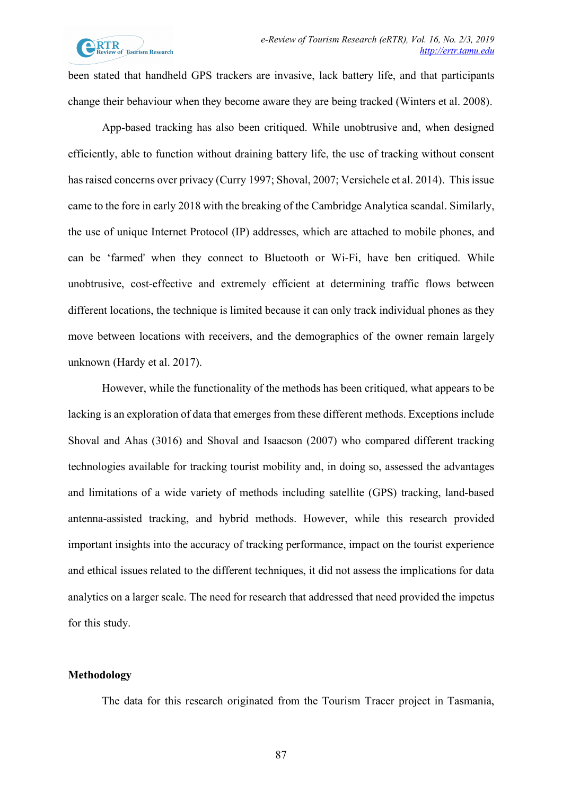been stated that handheld GPS trackers are invasive, lack battery life, and that participants change their behaviour when they become aware they are being tracked (Winters et al. 2008).

App-based tracking has also been critiqued. While unobtrusive and, when designed efficiently, able to function without draining battery life, the use of tracking without consent has raised concerns over privacy (Curry 1997; Shoval, 2007; Versichele et al. 2014). This issue came to the fore in early 2018 with the breaking of the Cambridge Analytica scandal. Similarly, the use of unique Internet Protocol (IP) addresses, which are attached to mobile phones, and can be 'farmed' when they connect to Bluetooth or Wi-Fi, have ben critiqued. While unobtrusive, cost-effective and extremely efficient at determining traffic flows between different locations, the technique is limited because it can only track individual phones as they move between locations with receivers, and the demographics of the owner remain largely unknown (Hardy et al. 2017).

However, while the functionality of the methods has been critiqued, what appears to be lacking is an exploration of data that emerges from these different methods. Exceptions include Shoval and Ahas (3016) and Shoval and Isaacson (2007) who compared different tracking technologies available for tracking tourist mobility and, in doing so, assessed the advantages and limitations of a wide variety of methods including satellite (GPS) tracking, land-based antenna-assisted tracking, and hybrid methods. However, while this research provided important insights into the accuracy of tracking performance, impact on the tourist experience and ethical issues related to the different techniques, it did not assess the implications for data analytics on a larger scale. The need for research that addressed that need provided the impetus for this study.

#### **Methodology**

The data for this research originated from the Tourism Tracer project in Tasmania,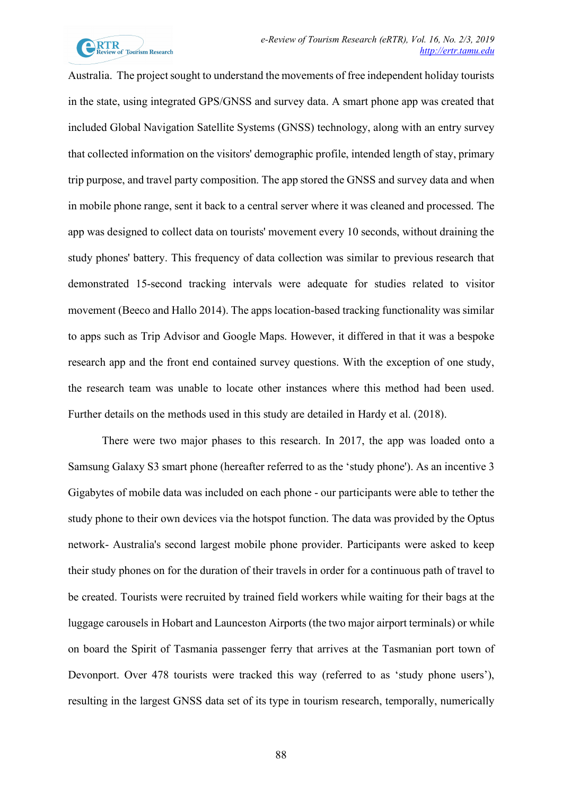

Australia. The project sought to understand the movements of free independent holiday tourists in the state, using integrated GPS/GNSS and survey data. A smart phone app was created that included Global Navigation Satellite Systems (GNSS) technology, along with an entry survey that collected information on the visitors' demographic profile, intended length of stay, primary trip purpose, and travel party composition. The app stored the GNSS and survey data and when in mobile phone range, sent it back to a central server where it was cleaned and processed. The app was designed to collect data on tourists' movement every 10 seconds, without draining the study phones' battery. This frequency of data collection was similar to previous research that demonstrated 15-second tracking intervals were adequate for studies related to visitor movement (Beeco and Hallo 2014). The apps location-based tracking functionality was similar to apps such as Trip Advisor and Google Maps. However, it differed in that it was a bespoke research app and the front end contained survey questions. With the exception of one study, the research team was unable to locate other instances where this method had been used. Further details on the methods used in this study are detailed in Hardy et al. (2018).

There were two major phases to this research. In 2017, the app was loaded onto a Samsung Galaxy S3 smart phone (hereafter referred to as the 'study phone'). As an incentive 3 Gigabytes of mobile data was included on each phone - our participants were able to tether the study phone to their own devices via the hotspot function. The data was provided by the Optus network- Australia's second largest mobile phone provider. Participants were asked to keep their study phones on for the duration of their travels in order for a continuous path of travel to be created. Tourists were recruited by trained field workers while waiting for their bags at the luggage carousels in Hobart and Launceston Airports (the two major airport terminals) or while on board the Spirit of Tasmania passenger ferry that arrives at the Tasmanian port town of Devonport. Over 478 tourists were tracked this way (referred to as 'study phone users'), resulting in the largest GNSS data set of its type in tourism research, temporally, numerically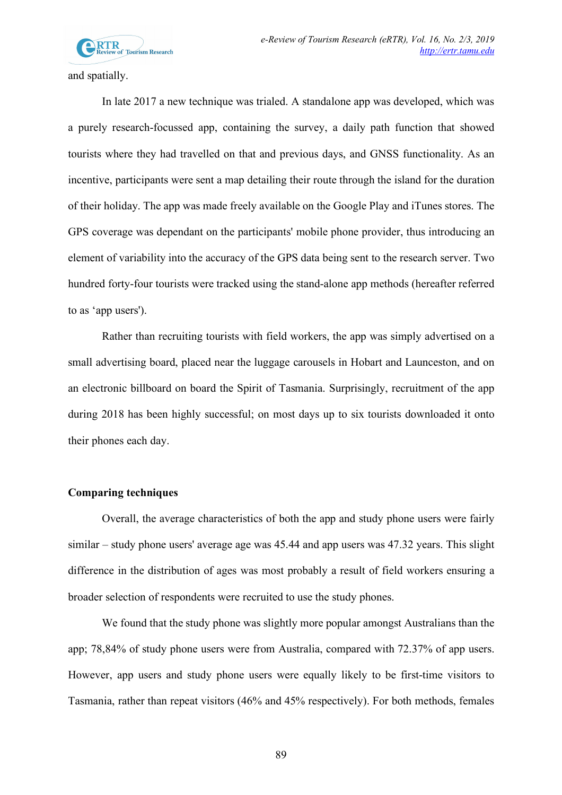

and spatially.

In late 2017 a new technique was trialed. A standalone app was developed, which was a purely research-focussed app, containing the survey, a daily path function that showed tourists where they had travelled on that and previous days, and GNSS functionality. As an incentive, participants were sent a map detailing their route through the island for the duration of their holiday. The app was made freely available on the Google Play and iTunes stores. The GPS coverage was dependant on the participants' mobile phone provider, thus introducing an element of variability into the accuracy of the GPS data being sent to the research server. Two hundred forty-four tourists were tracked using the stand-alone app methods (hereafter referred to as 'app users').

Rather than recruiting tourists with field workers, the app was simply advertised on a small advertising board, placed near the luggage carousels in Hobart and Launceston, and on an electronic billboard on board the Spirit of Tasmania. Surprisingly, recruitment of the app during 2018 has been highly successful; on most days up to six tourists downloaded it onto their phones each day.

### **Comparing techniques**

Overall, the average characteristics of both the app and study phone users were fairly similar – study phone users' average age was 45.44 and app users was 47.32 years. This slight difference in the distribution of ages was most probably a result of field workers ensuring a broader selection of respondents were recruited to use the study phones.

We found that the study phone was slightly more popular amongst Australians than the app; 78,84% of study phone users were from Australia, compared with 72.37% of app users. However, app users and study phone users were equally likely to be first-time visitors to Tasmania, rather than repeat visitors (46% and 45% respectively). For both methods, females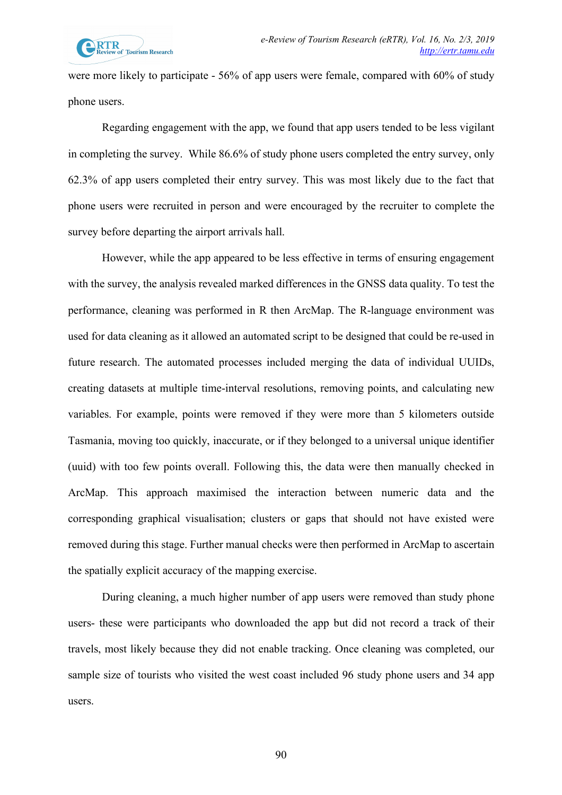were more likely to participate - 56% of app users were female, compared with 60% of study phone users.

Regarding engagement with the app, we found that app users tended to be less vigilant in completing the survey. While 86.6% of study phone users completed the entry survey, only 62.3% of app users completed their entry survey. This was most likely due to the fact that phone users were recruited in person and were encouraged by the recruiter to complete the survey before departing the airport arrivals hall.

However, while the app appeared to be less effective in terms of ensuring engagement with the survey, the analysis revealed marked differences in the GNSS data quality. To test the performance, cleaning was performed in R then ArcMap. The R-language environment was used for data cleaning as it allowed an automated script to be designed that could be re-used in future research. The automated processes included merging the data of individual UUIDs, creating datasets at multiple time-interval resolutions, removing points, and calculating new variables. For example, points were removed if they were more than 5 kilometers outside Tasmania, moving too quickly, inaccurate, or if they belonged to a universal unique identifier (uuid) with too few points overall. Following this, the data were then manually checked in ArcMap. This approach maximised the interaction between numeric data and the corresponding graphical visualisation; clusters or gaps that should not have existed were removed during this stage. Further manual checks were then performed in ArcMap to ascertain the spatially explicit accuracy of the mapping exercise.

During cleaning, a much higher number of app users were removed than study phone users- these were participants who downloaded the app but did not record a track of their travels, most likely because they did not enable tracking. Once cleaning was completed, our sample size of tourists who visited the west coast included 96 study phone users and 34 app users.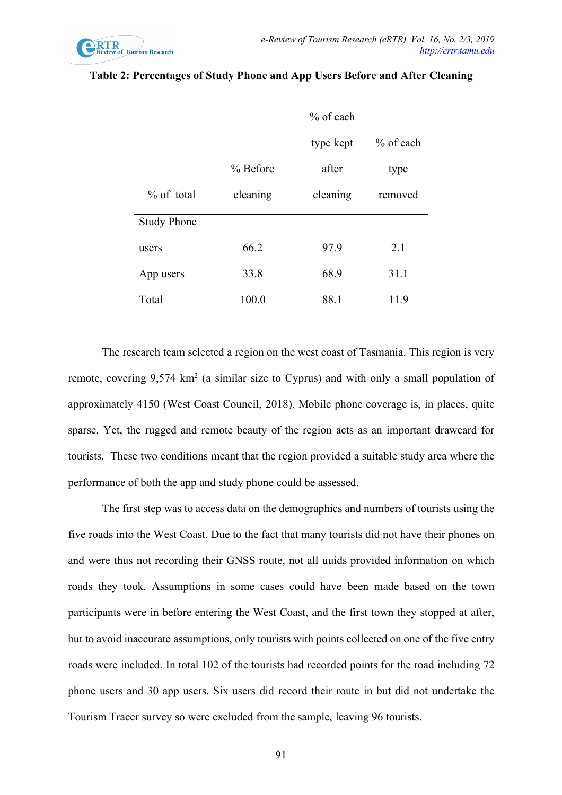

|                    | $%$ of each |           |           |
|--------------------|-------------|-----------|-----------|
|                    |             | type kept | % of each |
|                    | % Before    | after     | type      |
| $%$ of total       | cleaning    | cleaning  | removed   |
| <b>Study Phone</b> |             |           |           |
| users              | 66.2        | 97.9      | 2.1       |
| App users          | 33.8        | 68.9      | 31.1      |
| Total              | 100.0       | 88.1      | 11.9      |

#### **Table 2: Percentages of Study Phone and App Users Before and After Cleaning**

The research team selected a region on the west coast of Tasmania. This region is very remote, covering 9,574 km2 (a similar size to Cyprus) and with only a small population of approximately 4150 (West Coast Council, 2018). Mobile phone coverage is, in places, quite sparse. Yet, the rugged and remote beauty of the region acts as an important drawcard for tourists. These two conditions meant that the region provided a suitable study area where the performance of both the app and study phone could be assessed.

The first step was to access data on the demographics and numbers of tourists using the five roads into the West Coast. Due to the fact that many tourists did not have their phones on and were thus not recording their GNSS route, not all uuids provided information on which roads they took. Assumptions in some cases could have been made based on the town participants were in before entering the West Coast, and the first town they stopped at after, but to avoid inaccurate assumptions, only tourists with points collected on one of the five entry roads were included. In total 102 of the tourists had recorded points for the road including 72 phone users and 30 app users. Six users did record their route in but did not undertake the Tourism Tracer survey so were excluded from the sample, leaving 96 tourists.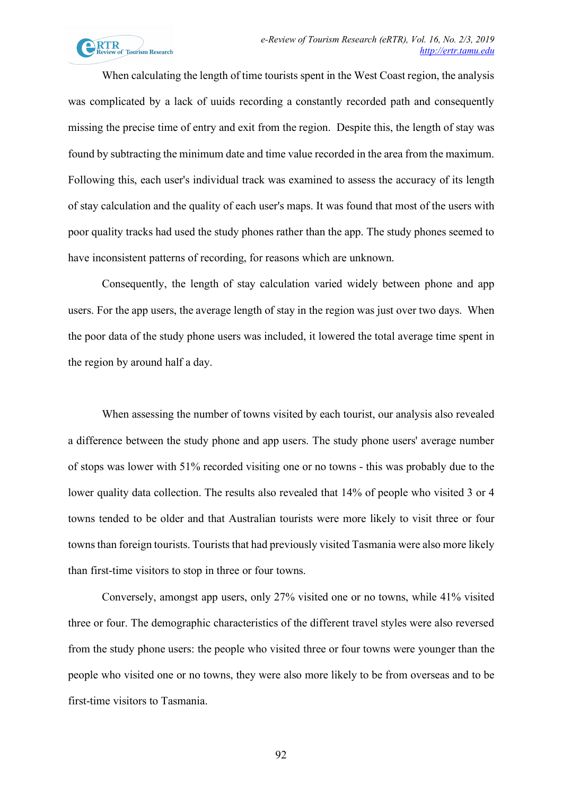

When calculating the length of time tourists spent in the West Coast region, the analysis was complicated by a lack of uuids recording a constantly recorded path and consequently missing the precise time of entry and exit from the region. Despite this, the length of stay was found by subtracting the minimum date and time value recorded in the area from the maximum. Following this, each user's individual track was examined to assess the accuracy of its length of stay calculation and the quality of each user's maps. It was found that most of the users with poor quality tracks had used the study phones rather than the app. The study phones seemed to have inconsistent patterns of recording, for reasons which are unknown.

Consequently, the length of stay calculation varied widely between phone and app users. For the app users, the average length of stay in the region was just over two days. When the poor data of the study phone users was included, it lowered the total average time spent in the region by around half a day.

When assessing the number of towns visited by each tourist, our analysis also revealed a difference between the study phone and app users. The study phone users' average number of stops was lower with 51% recorded visiting one or no towns - this was probably due to the lower quality data collection. The results also revealed that 14% of people who visited 3 or 4 towns tended to be older and that Australian tourists were more likely to visit three or four towns than foreign tourists. Tourists that had previously visited Tasmania were also more likely than first-time visitors to stop in three or four towns.

Conversely, amongst app users, only 27% visited one or no towns, while 41% visited three or four. The demographic characteristics of the different travel styles were also reversed from the study phone users: the people who visited three or four towns were younger than the people who visited one or no towns, they were also more likely to be from overseas and to be first-time visitors to Tasmania.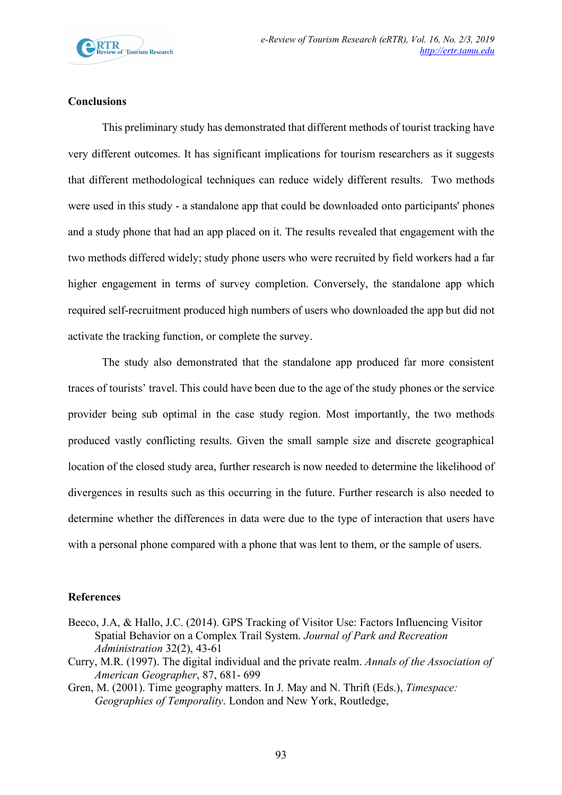

### **Conclusions**

This preliminary study has demonstrated that different methods of tourist tracking have very different outcomes. It has significant implications for tourism researchers as it suggests that different methodological techniques can reduce widely different results. Two methods were used in this study - a standalone app that could be downloaded onto participants' phones and a study phone that had an app placed on it. The results revealed that engagement with the two methods differed widely; study phone users who were recruited by field workers had a far higher engagement in terms of survey completion. Conversely, the standalone app which required self-recruitment produced high numbers of users who downloaded the app but did not activate the tracking function, or complete the survey.

The study also demonstrated that the standalone app produced far more consistent traces of tourists' travel. This could have been due to the age of the study phones or the service provider being sub optimal in the case study region. Most importantly, the two methods produced vastly conflicting results. Given the small sample size and discrete geographical location of the closed study area, further research is now needed to determine the likelihood of divergences in results such as this occurring in the future. Further research is also needed to determine whether the differences in data were due to the type of interaction that users have with a personal phone compared with a phone that was lent to them, or the sample of users.

#### **References**

- Beeco, J.A, & Hallo, J.C. (2014). GPS Tracking of Visitor Use: Factors Influencing Visitor Spatial Behavior on a Complex Trail System. *Journal of Park and Recreation Administration* 32(2), 43-61
- Curry, M.R. (1997). The digital individual and the private realm. *Annals of the Association of American Geographer*, 87, 681- 699
- Gren, M. (2001). Time geography matters. In J. May and N. Thrift (Eds.), *Timespace: Geographies of Temporality*. London and New York, Routledge,